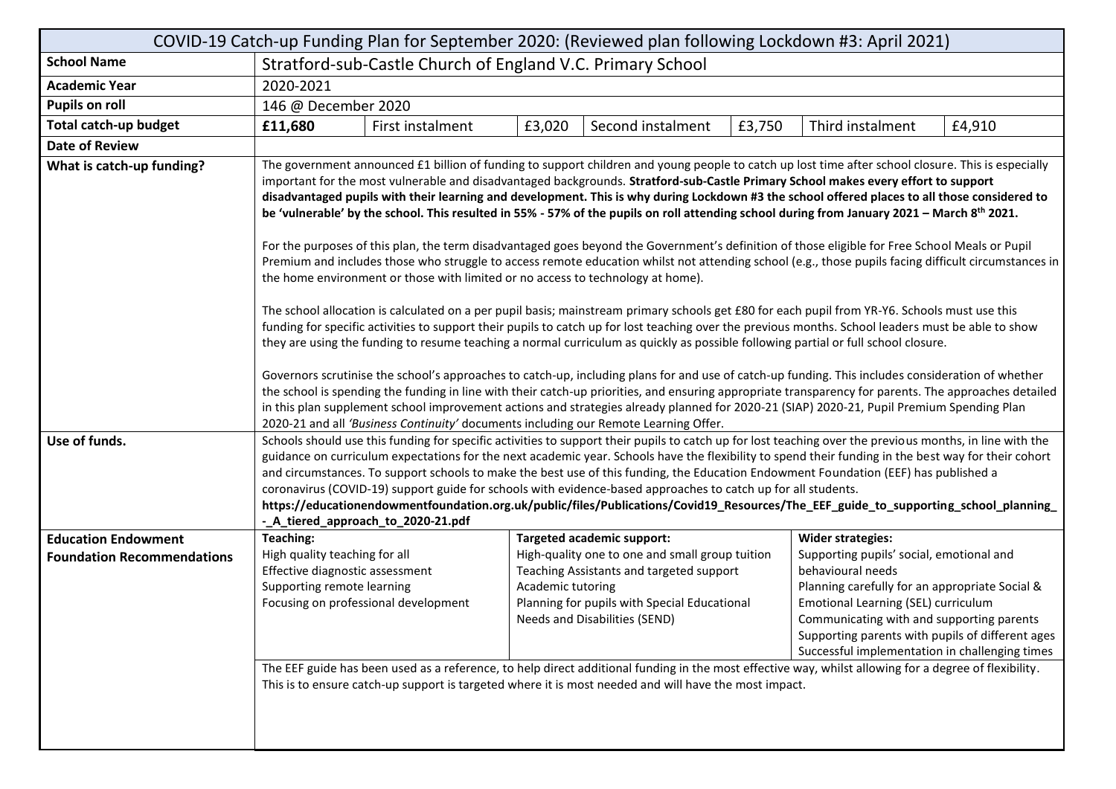| COVID-19 Catch-up Funding Plan for September 2020: (Reviewed plan following Lockdown #3: April 2021) |                                                                                                                                                                                                                                                                                                                                                                                                                                                                                                                                                                                                                                                                                                                                                                                                                                                                                                                                                                                                                                                                                                                                                                                                                                                                                                                                                                                                                                                                                                                                                                                          |                  |        |                                   |        |                          |        |  |
|------------------------------------------------------------------------------------------------------|------------------------------------------------------------------------------------------------------------------------------------------------------------------------------------------------------------------------------------------------------------------------------------------------------------------------------------------------------------------------------------------------------------------------------------------------------------------------------------------------------------------------------------------------------------------------------------------------------------------------------------------------------------------------------------------------------------------------------------------------------------------------------------------------------------------------------------------------------------------------------------------------------------------------------------------------------------------------------------------------------------------------------------------------------------------------------------------------------------------------------------------------------------------------------------------------------------------------------------------------------------------------------------------------------------------------------------------------------------------------------------------------------------------------------------------------------------------------------------------------------------------------------------------------------------------------------------------|------------------|--------|-----------------------------------|--------|--------------------------|--------|--|
| <b>School Name</b>                                                                                   | Stratford-sub-Castle Church of England V.C. Primary School                                                                                                                                                                                                                                                                                                                                                                                                                                                                                                                                                                                                                                                                                                                                                                                                                                                                                                                                                                                                                                                                                                                                                                                                                                                                                                                                                                                                                                                                                                                               |                  |        |                                   |        |                          |        |  |
| <b>Academic Year</b>                                                                                 | 2020-2021                                                                                                                                                                                                                                                                                                                                                                                                                                                                                                                                                                                                                                                                                                                                                                                                                                                                                                                                                                                                                                                                                                                                                                                                                                                                                                                                                                                                                                                                                                                                                                                |                  |        |                                   |        |                          |        |  |
| <b>Pupils on roll</b>                                                                                | 146 @ December 2020                                                                                                                                                                                                                                                                                                                                                                                                                                                                                                                                                                                                                                                                                                                                                                                                                                                                                                                                                                                                                                                                                                                                                                                                                                                                                                                                                                                                                                                                                                                                                                      |                  |        |                                   |        |                          |        |  |
| <b>Total catch-up budget</b>                                                                         | £11,680                                                                                                                                                                                                                                                                                                                                                                                                                                                                                                                                                                                                                                                                                                                                                                                                                                                                                                                                                                                                                                                                                                                                                                                                                                                                                                                                                                                                                                                                                                                                                                                  | First instalment | £3,020 | Second instalment                 | £3,750 | Third instalment         | £4,910 |  |
| <b>Date of Review</b>                                                                                |                                                                                                                                                                                                                                                                                                                                                                                                                                                                                                                                                                                                                                                                                                                                                                                                                                                                                                                                                                                                                                                                                                                                                                                                                                                                                                                                                                                                                                                                                                                                                                                          |                  |        |                                   |        |                          |        |  |
| What is catch-up funding?                                                                            | The government announced £1 billion of funding to support children and young people to catch up lost time after school closure. This is especially<br>important for the most vulnerable and disadvantaged backgrounds. Stratford-sub-Castle Primary School makes every effort to support<br>disadvantaged pupils with their learning and development. This is why during Lockdown #3 the school offered places to all those considered to<br>be 'vulnerable' by the school. This resulted in 55% - 57% of the pupils on roll attending school during from January 2021 - March 8th 2021.<br>For the purposes of this plan, the term disadvantaged goes beyond the Government's definition of those eligible for Free School Meals or Pupil<br>Premium and includes those who struggle to access remote education whilst not attending school (e.g., those pupils facing difficult circumstances in<br>the home environment or those with limited or no access to technology at home).<br>The school allocation is calculated on a per pupil basis; mainstream primary schools get £80 for each pupil from YR-Y6. Schools must use this<br>funding for specific activities to support their pupils to catch up for lost teaching over the previous months. School leaders must be able to show<br>they are using the funding to resume teaching a normal curriculum as quickly as possible following partial or full school closure.<br>Governors scrutinise the school's approaches to catch-up, including plans for and use of catch-up funding. This includes consideration of whether |                  |        |                                   |        |                          |        |  |
|                                                                                                      | the school is spending the funding in line with their catch-up priorities, and ensuring appropriate transparency for parents. The approaches detailed<br>in this plan supplement school improvement actions and strategies already planned for 2020-21 (SIAP) 2020-21, Pupil Premium Spending Plan<br>2020-21 and all 'Business Continuity' documents including our Remote Learning Offer.                                                                                                                                                                                                                                                                                                                                                                                                                                                                                                                                                                                                                                                                                                                                                                                                                                                                                                                                                                                                                                                                                                                                                                                               |                  |        |                                   |        |                          |        |  |
| Use of funds.                                                                                        | Schools should use this funding for specific activities to support their pupils to catch up for lost teaching over the previous months, in line with the<br>guidance on curriculum expectations for the next academic year. Schools have the flexibility to spend their funding in the best way for their cohort<br>and circumstances. To support schools to make the best use of this funding, the Education Endowment Foundation (EEF) has published a<br>coronavirus (COVID-19) support guide for schools with evidence-based approaches to catch up for all students.<br>https://educationendowmentfoundation.org.uk/public/files/Publications/Covid19_Resources/The_EEF_guide_to_supporting_school_planning_<br>-_A_tiered_approach_to_2020-21.pdf                                                                                                                                                                                                                                                                                                                                                                                                                                                                                                                                                                                                                                                                                                                                                                                                                                  |                  |        |                                   |        |                          |        |  |
| <b>Education Endowment</b>                                                                           | Teaching:                                                                                                                                                                                                                                                                                                                                                                                                                                                                                                                                                                                                                                                                                                                                                                                                                                                                                                                                                                                                                                                                                                                                                                                                                                                                                                                                                                                                                                                                                                                                                                                |                  |        | <b>Targeted academic support:</b> |        | <b>Wider strategies:</b> |        |  |
| <b>Foundation Recommendations</b>                                                                    | High-quality one to one and small group tuition<br>Supporting pupils' social, emotional and<br>High quality teaching for all<br>Effective diagnostic assessment<br>Teaching Assistants and targeted support<br>behavioural needs<br>Supporting remote learning<br>Academic tutoring<br>Planning carefully for an appropriate Social &<br>Focusing on professional development<br>Planning for pupils with Special Educational<br>Emotional Learning (SEL) curriculum<br>Needs and Disabilities (SEND)<br>Communicating with and supporting parents<br>Supporting parents with pupils of different ages<br>Successful implementation in challenging times<br>The EEF guide has been used as a reference, to help direct additional funding in the most effective way, whilst allowing for a degree of flexibility.                                                                                                                                                                                                                                                                                                                                                                                                                                                                                                                                                                                                                                                                                                                                                                        |                  |        |                                   |        |                          |        |  |
|                                                                                                      | This is to ensure catch-up support is targeted where it is most needed and will have the most impact.                                                                                                                                                                                                                                                                                                                                                                                                                                                                                                                                                                                                                                                                                                                                                                                                                                                                                                                                                                                                                                                                                                                                                                                                                                                                                                                                                                                                                                                                                    |                  |        |                                   |        |                          |        |  |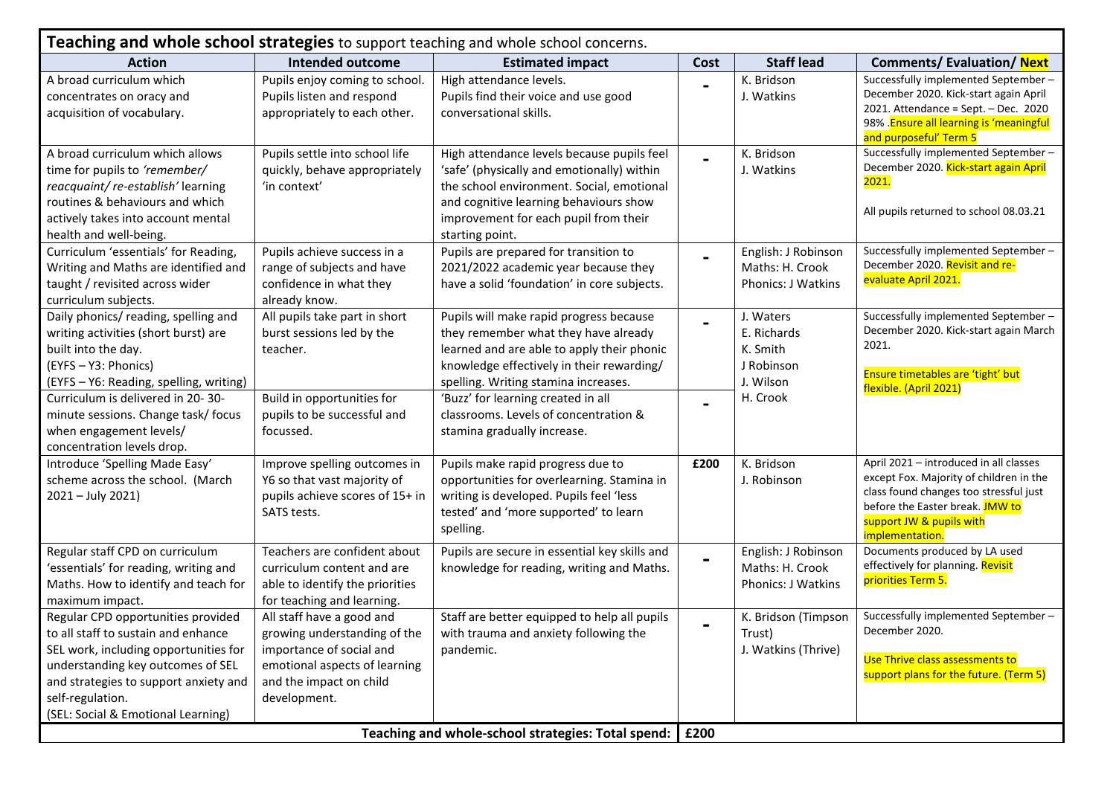| Teaching and whole school strategies to support teaching and whole school concerns.                                                                                                                                                                        |                                                                                                                                                                   |                                                                                                                                                                                                                                             |                |                                                                 |                                                                                                                                                                                                               |  |  |
|------------------------------------------------------------------------------------------------------------------------------------------------------------------------------------------------------------------------------------------------------------|-------------------------------------------------------------------------------------------------------------------------------------------------------------------|---------------------------------------------------------------------------------------------------------------------------------------------------------------------------------------------------------------------------------------------|----------------|-----------------------------------------------------------------|---------------------------------------------------------------------------------------------------------------------------------------------------------------------------------------------------------------|--|--|
| <b>Action</b>                                                                                                                                                                                                                                              | Intended outcome                                                                                                                                                  | <b>Estimated impact</b>                                                                                                                                                                                                                     | Cost           | <b>Staff lead</b>                                               | <b>Comments/Evaluation/Next</b>                                                                                                                                                                               |  |  |
| A broad curriculum which<br>concentrates on oracy and<br>acquisition of vocabulary.                                                                                                                                                                        | Pupils enjoy coming to school.<br>Pupils listen and respond<br>appropriately to each other.                                                                       | High attendance levels.<br>Pupils find their voice and use good<br>conversational skills.                                                                                                                                                   |                | K. Bridson<br>J. Watkins                                        | Successfully implemented September-<br>December 2020. Kick-start again April<br>2021. Attendance = Sept. - Dec. 2020<br>98% . Ensure all learning is 'meaningful<br>and purposeful' Term 5                    |  |  |
| A broad curriculum which allows<br>time for pupils to 'remember/<br>reacquaint/re-establish'learning<br>routines & behaviours and which<br>actively takes into account mental<br>health and well-being.                                                    | Pupils settle into school life<br>quickly, behave appropriately<br>'in context'                                                                                   | High attendance levels because pupils feel<br>'safe' (physically and emotionally) within<br>the school environment. Social, emotional<br>and cognitive learning behaviours show<br>improvement for each pupil from their<br>starting point. |                | K. Bridson<br>J. Watkins                                        | Successfully implemented September-<br>December 2020. Kick-start again April<br>2021.<br>All pupils returned to school 08.03.21                                                                               |  |  |
| Curriculum 'essentials' for Reading,<br>Writing and Maths are identified and<br>taught / revisited across wider<br>curriculum subjects.                                                                                                                    | Pupils achieve success in a<br>range of subjects and have<br>confidence in what they<br>already know.                                                             | Pupils are prepared for transition to<br>2021/2022 academic year because they<br>have a solid 'foundation' in core subjects.                                                                                                                |                | English: J Robinson<br>Maths: H. Crook<br>Phonics: J Watkins    | Successfully implemented September-<br>December 2020. Revisit and re-<br>evaluate April 2021.                                                                                                                 |  |  |
| Daily phonics/ reading, spelling and<br>writing activities (short burst) are<br>built into the day.<br>(EYFS - Y3: Phonics)<br>(EYFS - Y6: Reading, spelling, writing)                                                                                     | All pupils take part in short<br>burst sessions led by the<br>teacher.                                                                                            | Pupils will make rapid progress because<br>they remember what they have already<br>learned and are able to apply their phonic<br>knowledge effectively in their rewarding/<br>spelling. Writing stamina increases.                          | $\blacksquare$ | J. Waters<br>E. Richards<br>K. Smith<br>J Robinson<br>J. Wilson | Successfully implemented September-<br>December 2020. Kick-start again March<br>2021.<br>Ensure timetables are 'tight' but<br>flexible. (April 2021)                                                          |  |  |
| Curriculum is delivered in 20-30-<br>minute sessions. Change task/ focus<br>when engagement levels/<br>concentration levels drop.                                                                                                                          | Build in opportunities for<br>pupils to be successful and<br>focussed.                                                                                            | 'Buzz' for learning created in all<br>classrooms. Levels of concentration &<br>stamina gradually increase.                                                                                                                                  |                | H. Crook                                                        |                                                                                                                                                                                                               |  |  |
| Introduce 'Spelling Made Easy'<br>scheme across the school. (March<br>2021 - July 2021)                                                                                                                                                                    | Improve spelling outcomes in<br>Y6 so that vast majority of<br>pupils achieve scores of 15+ in<br>SATS tests.                                                     | Pupils make rapid progress due to<br>opportunities for overlearning. Stamina in<br>writing is developed. Pupils feel 'less<br>tested' and 'more supported' to learn<br>spelling.                                                            | £200           | K. Bridson<br>J. Robinson                                       | April 2021 - introduced in all classes<br>except Fox. Majority of children in the<br>class found changes too stressful just<br>before the Easter break. JMW to<br>support JW & pupils with<br>implementation. |  |  |
| Regular staff CPD on curriculum<br>'essentials' for reading, writing and<br>Maths. How to identify and teach for<br>maximum impact.                                                                                                                        | Teachers are confident about<br>curriculum content and are<br>able to identify the priorities<br>for teaching and learning.                                       | Pupils are secure in essential key skills and<br>knowledge for reading, writing and Maths.                                                                                                                                                  |                | English: J Robinson<br>Maths: H. Crook<br>Phonics: J Watkins    | Documents produced by LA used<br>effectively for planning. Revisit<br>priorities Term 5.                                                                                                                      |  |  |
| Regular CPD opportunities provided<br>to all staff to sustain and enhance<br>SEL work, including opportunities for<br>understanding key outcomes of SEL<br>and strategies to support anxiety and<br>self-regulation.<br>(SEL: Social & Emotional Learning) | All staff have a good and<br>growing understanding of the<br>importance of social and<br>emotional aspects of learning<br>and the impact on child<br>development. | Staff are better equipped to help all pupils<br>with trauma and anxiety following the<br>pandemic.                                                                                                                                          |                | K. Bridson (Timpson<br>Trust)<br>J. Watkins (Thrive)            | Successfully implemented September-<br>December 2020.<br>Use Thrive class assessments to<br>support plans for the future. (Term 5)                                                                            |  |  |
| Teaching and whole-school strategies: Total spend:                                                                                                                                                                                                         |                                                                                                                                                                   |                                                                                                                                                                                                                                             |                | £200                                                            |                                                                                                                                                                                                               |  |  |